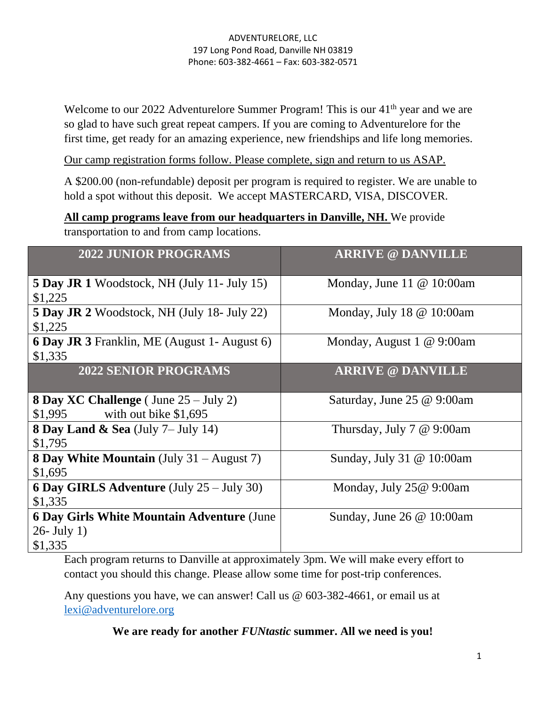Welcome to our 2022 Adventurelore Summer Program! This is our 41<sup>th</sup> year and we are so glad to have such great repeat campers. If you are coming to Adventurelore for the first time, get ready for an amazing experience, new friendships and life long memories.

Our camp registration forms follow. Please complete, sign and return to us ASAP.

A \$200.00 (non-refundable) deposit per program is required to register. We are unable to hold a spot without this deposit. We accept MASTERCARD, VISA, DISCOVER.

**All camp programs leave from our headquarters in Danville, NH.** We provide transportation to and from camp locations.

| <b>2022 JUNIOR PROGRAMS</b>                                                                 | <b>ARRIVE @ DANVILLE</b>      |
|---------------------------------------------------------------------------------------------|-------------------------------|
| <b>5 Day JR 1</b> Woodstock, NH (July 11- July 15)<br>\$1,225                               | Monday, June 11 $@$ 10:00am   |
| <b>5 Day JR 2</b> Woodstock, NH (July 18- July 22)<br>\$1,225                               | Monday, July 18 $@$ 10:00am   |
| <b>6 Day JR 3</b> Franklin, ME (August 1- August 6)<br>\$1,335                              | Monday, August 1 @ 9:00am     |
| <b>2022 SENIOR PROGRAMS</b>                                                                 | <b>ARRIVE @ DANVILLE</b>      |
| <b>8 Day XC Challenge</b> (June $25 - \text{July } 2$ )<br>\$1,995<br>with out bike \$1,695 | Saturday, June 25 @ 9:00am    |
| 8 Day Land & Sea $(\text{July } 7 - \text{ July } 14)$<br>\$1,795                           | Thursday, July $7 \& 9:00$ am |
| <b>8 Day White Mountain</b> (July 31 – August 7)<br>\$1,695                                 | Sunday, July 31 @ 10:00am     |
| <b>6 Day GIRLS Adventure</b> (July $25 -$ July 30)<br>\$1,335                               | Monday, July 25@ 9:00am       |
| <b>6 Day Girls White Mountain Adventure (June</b> )<br>$26$ - July 1)<br>\$1,335            | Sunday, June 26 $@$ 10:00am   |

Each program returns to Danville at approximately 3pm. We will make every effort to contact you should this change. Please allow some time for post-trip conferences.

Any questions you have, we can answer! Call us @ 603-382-4661, or email us at [lexi@adventurelore.org](mailto:lexi@adventurelore.org)

**We are ready for another** *FUNtastic* **summer. All we need is you!**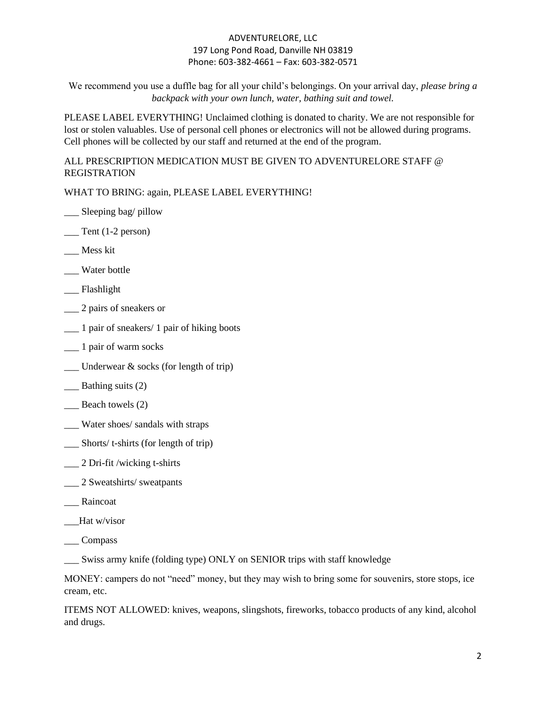We recommend you use a duffle bag for all your child's belongings. On your arrival day, *please bring a backpack with your own lunch, water, bathing suit and towel.*

PLEASE LABEL EVERYTHING! Unclaimed clothing is donated to charity. We are not responsible for lost or stolen valuables. Use of personal cell phones or electronics will not be allowed during programs. Cell phones will be collected by our staff and returned at the end of the program.

ALL PRESCRIPTION MEDICATION MUST BE GIVEN TO ADVENTURELORE STAFF @ REGISTRATION

WHAT TO BRING: again, PLEASE LABEL EVERYTHING!

- \_\_\_ Sleeping bag/ pillow
- $\equiv$  Tent (1-2 person)
- \_\_\_ Mess kit
- \_\_\_ Water bottle
- \_\_\_ Flashlight
- \_\_\_ 2 pairs of sneakers or
- \_\_\_ 1 pair of sneakers/ 1 pair of hiking boots
- \_\_\_ 1 pair of warm socks
- $\frac{1}{2}$  Underwear & socks (for length of trip)
- \_\_\_ Bathing suits (2)
- Beach towels (2)
- \_\_\_ Water shoes/ sandals with straps
- \_\_\_ Shorts/ t-shirts (for length of trip)
- \_\_\_ 2 Dri-fit /wicking t-shirts
- \_\_\_ 2 Sweatshirts/ sweatpants
- \_\_\_ Raincoat
- \_\_\_Hat w/visor
- \_\_\_ Compass

\_\_\_ Swiss army knife (folding type) ONLY on SENIOR trips with staff knowledge

MONEY: campers do not "need" money, but they may wish to bring some for souvenirs, store stops, ice cream, etc.

ITEMS NOT ALLOWED: knives, weapons, slingshots, fireworks, tobacco products of any kind, alcohol and drugs.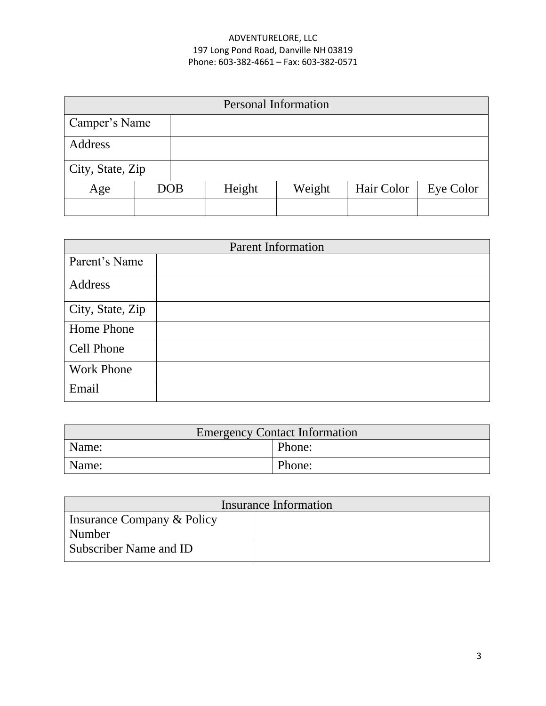| <b>Personal Information</b> |  |            |        |        |            |           |
|-----------------------------|--|------------|--------|--------|------------|-----------|
| Camper's Name               |  |            |        |        |            |           |
| Address                     |  |            |        |        |            |           |
| City, State, Zip            |  |            |        |        |            |           |
| Age                         |  | <b>DOB</b> | Height | Weight | Hair Color | Eye Color |
|                             |  |            |        |        |            |           |

| <b>Parent Information</b> |  |  |
|---------------------------|--|--|
| Parent's Name             |  |  |
| Address                   |  |  |
| City, State, Zip          |  |  |
| Home Phone                |  |  |
| Cell Phone                |  |  |
| <b>Work Phone</b>         |  |  |
| Email                     |  |  |

| <b>Emergency Contact Information</b> |        |  |
|--------------------------------------|--------|--|
| Name:                                | Phone: |  |
| Name:                                | Phone: |  |

| Insurance Information      |  |  |  |
|----------------------------|--|--|--|
| Insurance Company & Policy |  |  |  |
| Number                     |  |  |  |
| Subscriber Name and ID     |  |  |  |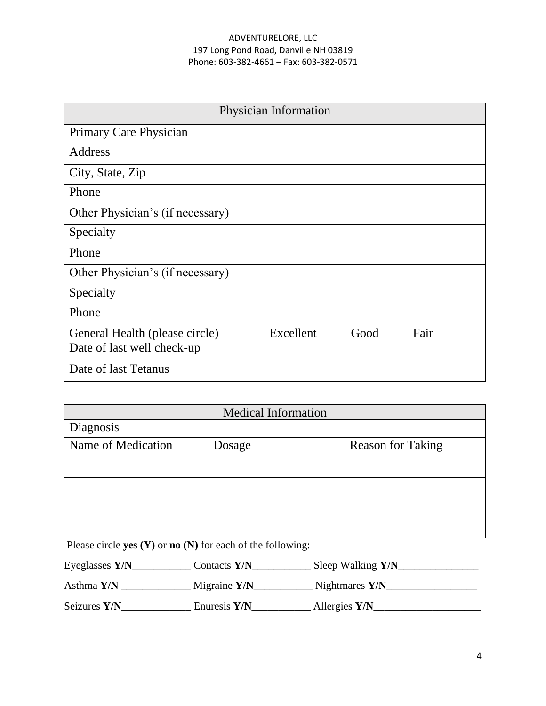| Physician Information            |           |      |      |  |
|----------------------------------|-----------|------|------|--|
| Primary Care Physician           |           |      |      |  |
| Address                          |           |      |      |  |
| City, State, Zip                 |           |      |      |  |
| Phone                            |           |      |      |  |
| Other Physician's (if necessary) |           |      |      |  |
| Specialty                        |           |      |      |  |
| Phone                            |           |      |      |  |
| Other Physician's (if necessary) |           |      |      |  |
| Specialty                        |           |      |      |  |
| Phone                            |           |      |      |  |
| General Health (please circle)   | Excellent | Good | Fair |  |
| Date of last well check-up       |           |      |      |  |
| Date of last Tetanus             |           |      |      |  |

| <b>Medical Information</b> |  |        |                          |
|----------------------------|--|--------|--------------------------|
| Diagnosis                  |  |        |                          |
| Name of Medication         |  | Dosage | <b>Reason for Taking</b> |
|                            |  |        |                          |
|                            |  |        |                          |
|                            |  |        |                          |
|                            |  |        |                          |

Please circle **yes (Y)** or **no** (N) for each of the following:

| Eyeglasses $Y/N$ | Contacts Y/N   | Sleep Walking Y/N |
|------------------|----------------|-------------------|
| Asthma Y/N       | Migraine $Y/N$ | Nightmares $Y/N$  |
| Seizures Y/N     | Enuresis Y/N   | Allergies Y/N     |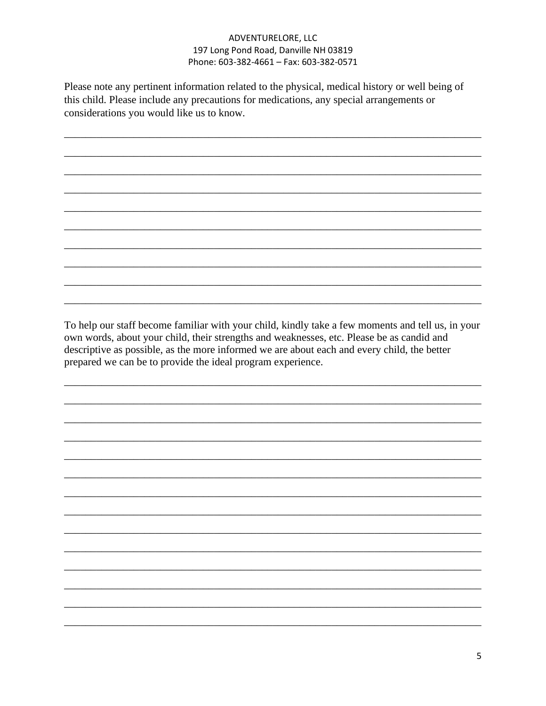Please note any pertinent information related to the physical, medical history or well being of this child. Please include any precautions for medications, any special arrangements or considerations you would like us to know.

To help our staff become familiar with your child, kindly take a few moments and tell us, in your own words, about your child, their strengths and weaknesses, etc. Please be as candid and descriptive as possible, as the more informed we are about each and every child, the better prepared we can be to provide the ideal program experience.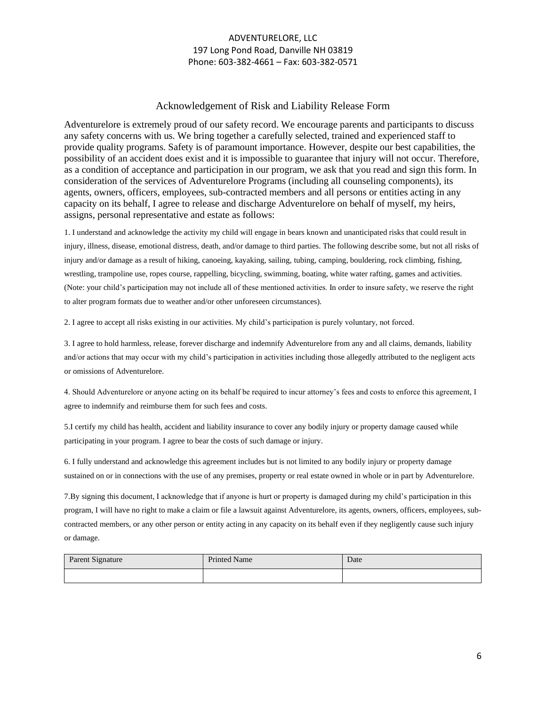#### Acknowledgement of Risk and Liability Release Form

Adventurelore is extremely proud of our safety record. We encourage parents and participants to discuss any safety concerns with us. We bring together a carefully selected, trained and experienced staff to provide quality programs. Safety is of paramount importance. However, despite our best capabilities, the possibility of an accident does exist and it is impossible to guarantee that injury will not occur. Therefore, as a condition of acceptance and participation in our program, we ask that you read and sign this form. In consideration of the services of Adventurelore Programs (including all counseling components), its agents, owners, officers, employees, sub-contracted members and all persons or entities acting in any capacity on its behalf, I agree to release and discharge Adventurelore on behalf of myself, my heirs, assigns, personal representative and estate as follows:

1. I understand and acknowledge the activity my child will engage in bears known and unanticipated risks that could result in injury, illness, disease, emotional distress, death, and/or damage to third parties. The following describe some, but not all risks of injury and/or damage as a result of hiking, canoeing, kayaking, sailing, tubing, camping, bouldering, rock climbing, fishing, wrestling, trampoline use, ropes course, rappelling, bicycling, swimming, boating, white water rafting, games and activities. (Note: your child's participation may not include all of these mentioned activities. In order to insure safety, we reserve the right to alter program formats due to weather and/or other unforeseen circumstances).

2. I agree to accept all risks existing in our activities. My child's participation is purely voluntary, not forced.

3. I agree to hold harmless, release, forever discharge and indemnify Adventurelore from any and all claims, demands, liability and/or actions that may occur with my child's participation in activities including those allegedly attributed to the negligent acts or omissions of Adventurelore.

4. Should Adventurelore or anyone acting on its behalf be required to incur attorney's fees and costs to enforce this agreement, I agree to indemnify and reimburse them for such fees and costs.

5.I certify my child has health, accident and liability insurance to cover any bodily injury or property damage caused while participating in your program. I agree to bear the costs of such damage or injury.

6. I fully understand and acknowledge this agreement includes but is not limited to any bodily injury or property damage sustained on or in connections with the use of any premises, property or real estate owned in whole or in part by Adventurelore.

7.By signing this document, I acknowledge that if anyone is hurt or property is damaged during my child's participation in this program, I will have no right to make a claim or file a lawsuit against Adventurelore, its agents, owners, officers, employees, subcontracted members, or any other person or entity acting in any capacity on its behalf even if they negligently cause such injury or damage.

| Parent Signature | <b>Printed Name</b> | Date |
|------------------|---------------------|------|
|                  |                     |      |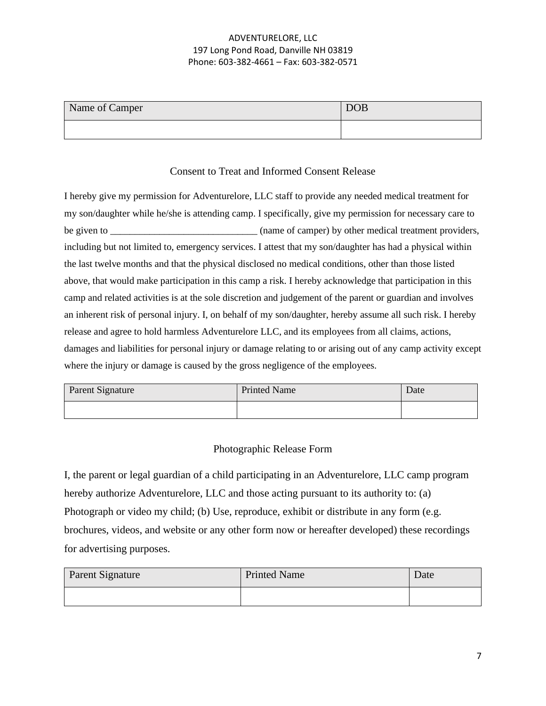| Name of Camper | <b>DOB</b> |
|----------------|------------|
|                |            |

# Consent to Treat and Informed Consent Release

I hereby give my permission for Adventurelore, LLC staff to provide any needed medical treatment for my son/daughter while he/she is attending camp. I specifically, give my permission for necessary care to be given to \_\_\_\_\_\_\_\_\_\_\_\_\_\_\_\_\_\_\_\_\_\_\_\_\_\_\_\_\_\_\_\_\_\_(name of camper) by other medical treatment providers, including but not limited to, emergency services. I attest that my son/daughter has had a physical within the last twelve months and that the physical disclosed no medical conditions, other than those listed above, that would make participation in this camp a risk. I hereby acknowledge that participation in this camp and related activities is at the sole discretion and judgement of the parent or guardian and involves an inherent risk of personal injury. I, on behalf of my son/daughter, hereby assume all such risk. I hereby release and agree to hold harmless Adventurelore LLC, and its employees from all claims, actions, damages and liabilities for personal injury or damage relating to or arising out of any camp activity except where the injury or damage is caused by the gross negligence of the employees.

| Parent Signature | <b>Printed Name</b> | Date |
|------------------|---------------------|------|
|                  |                     |      |

# Photographic Release Form

I, the parent or legal guardian of a child participating in an Adventurelore, LLC camp program hereby authorize Adventurelore, LLC and those acting pursuant to its authority to: (a) Photograph or video my child; (b) Use, reproduce, exhibit or distribute in any form (e.g. brochures, videos, and website or any other form now or hereafter developed) these recordings for advertising purposes.

| Parent Signature | <b>Printed Name</b> | Date |
|------------------|---------------------|------|
|                  |                     |      |